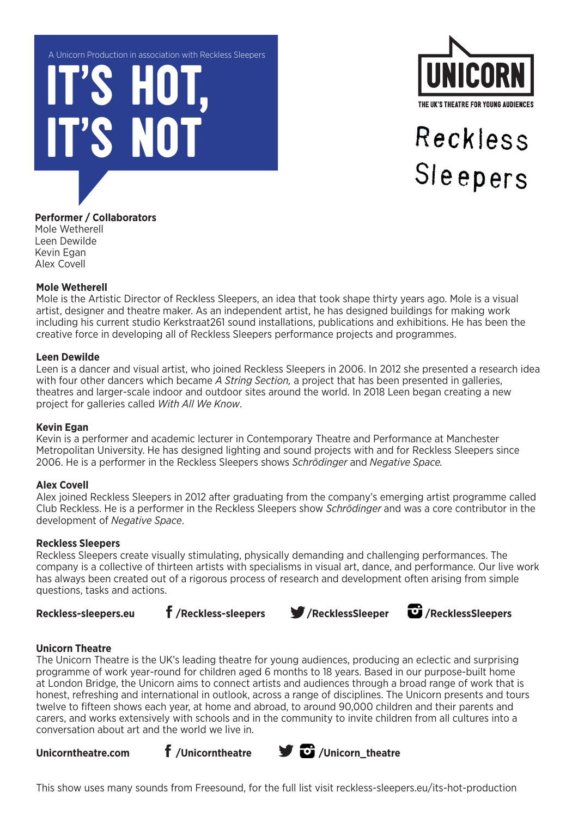IT'S HOT, A Unicorn Production in association with Reckless Sleepers

**IS NOT** 



# Reckless Sleepers

# **Performer / Collaborators**

Mole Wetherell Leen Dewilde Kevin Egan Alex Covell

#### **Mole Wetherell**

Mole is the Artistic Director of Reckless Sleepers, an idea that took shape thirty years ago. Mole is a visual artist, designer and theatre maker. As an independent artist, he has designed buildings for making work including his current studio Kerkstraat261 sound installations, publications and exhibitions. He has been the creative force in developing all of Reckless Sleepers performance projects and programmes.

#### **Leen Dewilde**

Leen is a dancer and visual artist, who joined Reckless Sleepers in 2006. In 2012 she presented a research idea with four other dancers which became *A String Section,* a project that has been presented in galleries, theatres and larger-scale indoor and outdoor sites around the world. In 2018 Leen began creating a new project for galleries called *With All We Know*.

#### **Kevin Egan**

Kevin is a performer and academic lecturer in Contemporary Theatre and Performance at Manchester Metropolitan University. He has designed lighting and sound projects with and for Reckless Sleepers since 2006. He is a performer in the Reckless Sleepers shows *Schrödinger* and *Negative Space.*

# **Alex Covell**

Alex joined Reckless Sleepers in 2012 after graduating from the company's emerging artist programme called Club Reckless. He is a performer in the Reckless Sleepers show *Schrödinger* and was a core contributor in the development of *Negative Space*.

#### **Reckless Sleepers**

Reckless Sleepers create visually stimulating, physically demanding and challenging performances. The company is a collective of thirteen artists with specialisms in visual art, dance, and performance. Our live work has always been created out of a rigorous process of research and development often arising from simple questions, tasks and actions.



Reckless-sleepers.eu **f**/Reckless-sleepers **//**RecklessSleeper **U**/RecklessSleepers

# **Unicorn Theatre**

The Unicorn Theatre is the UK's leading theatre for young audiences, producing an eclectic and surprising programme of work year-round for children aged 6 months to 18 years. Based in our purpose-built home at London Bridge, the Unicorn aims to connect artists and audiences through a broad range of work that is honest, refreshing and international in outlook, across a range of disciplines. The Unicorn presents and tours twelve to fifteen shows each year, at home and abroad, to around 90,000 children and their parents and carers, and works extensively with schools and in the community to invite children from all cultures into a conversation about art and the world we live in.



This show uses many sounds from Freesound, for the full list visit reckless-sleepers.eu/its-hot-production